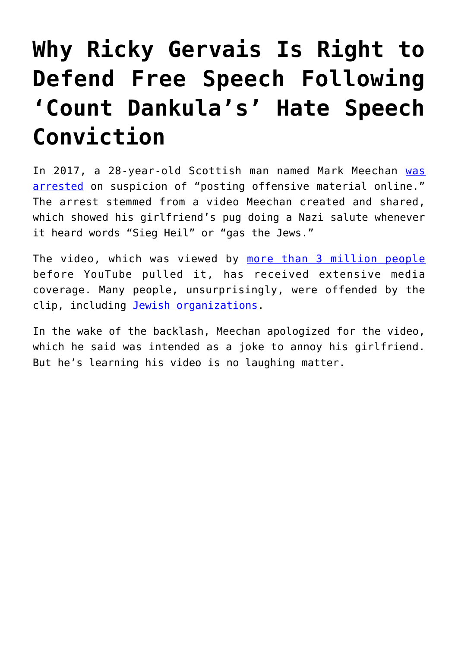## **[Why Ricky Gervais Is Right to](https://intellectualtakeout.org/2018/03/why-ricky-gervais-is-right-to-defend-free-speech-following-count-dankulas-hate-speech-conviction/) [Defend Free Speech Following](https://intellectualtakeout.org/2018/03/why-ricky-gervais-is-right-to-defend-free-speech-following-count-dankulas-hate-speech-conviction/) ['Count Dankula's' Hate Speech](https://intellectualtakeout.org/2018/03/why-ricky-gervais-is-right-to-defend-free-speech-following-count-dankulas-hate-speech-conviction/) [Conviction](https://intellectualtakeout.org/2018/03/why-ricky-gervais-is-right-to-defend-free-speech-following-count-dankulas-hate-speech-conviction/)**

In 2017, a 28-year-old Scottish man named Mark Meechan [was](https://www.independent.co.uk/news/uk/crime/nazi-dog-salute-video-man-arrested-a7021006.html) [arrested](https://www.independent.co.uk/news/uk/crime/nazi-dog-salute-video-man-arrested-a7021006.html) on suspicion of "posting offensive material online." The arrest stemmed from a video Meechan created and shared, which showed his girlfriend's pug doing a Nazi salute whenever it heard words "Sieg Heil" or "gas the Jews."

The video, which was viewed by [more than 3 million people](https://www.washingtonpost.com/news/the-intersect/wp/2017/09/12/this-video-showed-a-nazi-saluting-dog-was-posting-it-on-youtube-a-hate-crime/?utm_term=.5436c271ee16) before YouTube pulled it, has received extensive media coverage. Many people, unsurprisingly, were offended by the clip, including [Jewish organizations](https://www.independent.co.uk/news/uk/crime/pug-nazi-salute-video-youtube-jewish-community-mark-meecham-buddha-gas-holocaust-sieg-heil-ephraim-a7943241.html).

In the wake of the backlash, Meechan apologized for the video, which he said was intended as a joke to annoy his girlfriend. But he's learning his video is no laughing matter.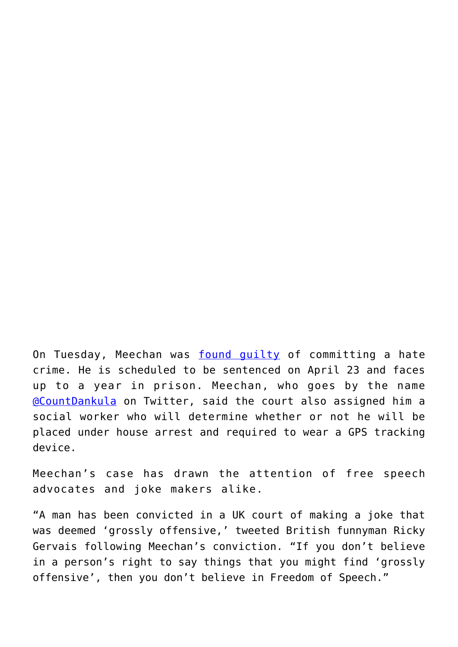On Tuesday, Meechan was [found guilty](http://www.jpost.com/Diaspora/Antisemitism/Man-who-taught-dog-Nazi-salute-found-guilty-of-hate-crime-546584) of committing a hate crime. He is scheduled to be sentenced on April 23 and faces up to a year in prison. Meechan, who goes by the name [@CountDankula](https://twitter.com/CountDankulaTV) on Twitter, said the court also assigned him a social worker who will determine whether or not he will be placed under house arrest and required to wear a GPS tracking device.

Meechan's case has drawn the attention of free speech advocates and joke makers alike.

"A man has been convicted in a UK court of making a joke that was deemed 'grossly offensive,' tweeted British funnyman Ricky Gervais following Meechan's conviction. "If you don't believe in a person's right to say things that you might find 'grossly offensive', then you don't believe in Freedom of Speech."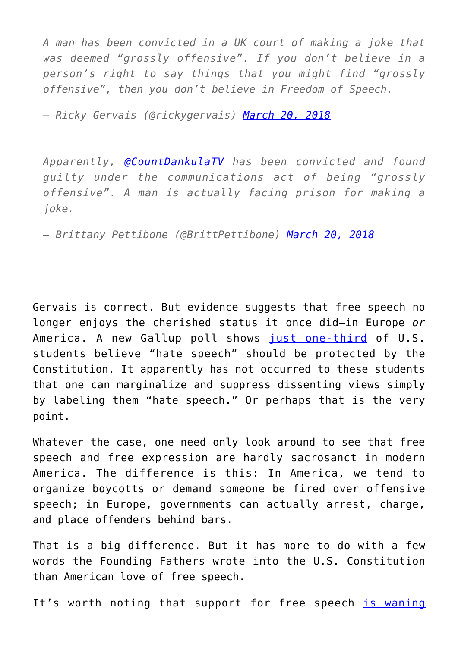*A man has been convicted in a UK court of making a joke that was deemed "grossly offensive". If you don't believe in a person's right to say things that you might find "grossly offensive", then you don't believe in Freedom of Speech.*

*— Ricky Gervais (@rickygervais) [March 20, 2018](https://twitter.com/rickygervais/status/976115287991910400?ref_src=twsrc%5Etfw)*

*Apparently, [@CountDankulaTV](https://twitter.com/CountDankulaTV?ref_src=twsrc%5Etfw) has been convicted and found guilty under the communications act of being "grossly offensive". A man is actually facing prison for making a joke.*

*— Brittany Pettibone (@BrittPettibone) [March 20, 2018](https://twitter.com/BrittPettibone/status/976083005419786240?ref_src=twsrc%5Etfw)*

Gervais is correct. But evidence suggests that free speech no longer enjoys the cherished status it once did—in Europe *or* America. A new Gallup poll shows [just one-third](https://www.intellectualtakeout.org/article/survey-only-one-third-students-think-constitution-should-protect-hate-speech) of U.S. students believe "hate speech" should be protected by the Constitution. It apparently has not occurred to these students that one can marginalize and suppress dissenting views simply by labeling them "hate speech." Or perhaps that is the very point.

Whatever the case, one need only look around to see that free speech and free expression are hardly sacrosanct in modern America. The difference is this: In America, we tend to organize boycotts or demand someone be fired over offensive speech; in Europe, governments can actually arrest, charge, and place offenders behind bars.

That is a big difference. But it has more to do with a few words the Founding Fathers wrote into the U.S. Constitution than American love of free speech.

It's worth noting that support for free speech [is waning](https://www.cato-unbound.org/2016/01/04/greg-lukianoff/campus-free-speech-has-been-trouble-long-time)